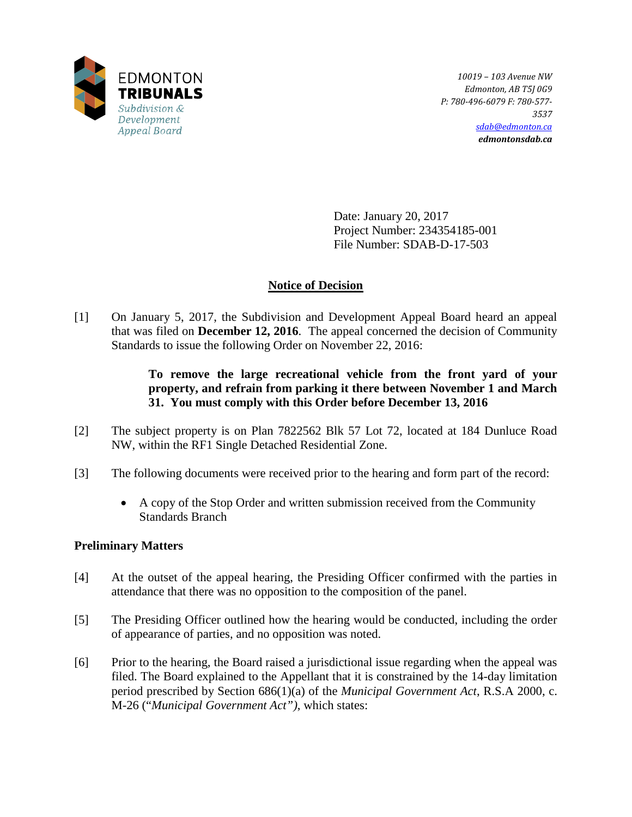

*10019 – 103 Avenue NW Edmonton, AB T5J 0G9 P: 780-496-6079 F: 780-577- 3537 [sdab@edmonton.ca](mailto:sdab@edmonton.ca) edmontonsdab.ca*

Date: January 20, 2017 Project Number: 234354185-001 File Number: SDAB-D-17-503

# **Notice of Decision**

[1] On January 5, 2017, the Subdivision and Development Appeal Board heard an appeal that was filed on **December 12, 2016**. The appeal concerned the decision of Community Standards to issue the following Order on November 22, 2016:

# **To remove the large recreational vehicle from the front yard of your property, and refrain from parking it there between November 1 and March 31. You must comply with this Order before December 13, 2016**

- [2] The subject property is on Plan 7822562 Blk 57 Lot 72, located at 184 Dunluce Road NW, within the RF1 Single Detached Residential Zone.
- [3] The following documents were received prior to the hearing and form part of the record:
	- A copy of the Stop Order and written submission received from the Community Standards Branch

# **Preliminary Matters**

- [4] At the outset of the appeal hearing, the Presiding Officer confirmed with the parties in attendance that there was no opposition to the composition of the panel.
- [5] The Presiding Officer outlined how the hearing would be conducted, including the order of appearance of parties, and no opposition was noted.
- [6] Prior to the hearing, the Board raised a jurisdictional issue regarding when the appeal was filed. The Board explained to the Appellant that it is constrained by the 14-day limitation period prescribed by Section 686(1)(a) of the *Municipal Government Act*, R.S.A 2000, c. M-26 ("*Municipal Government Act")*, which states: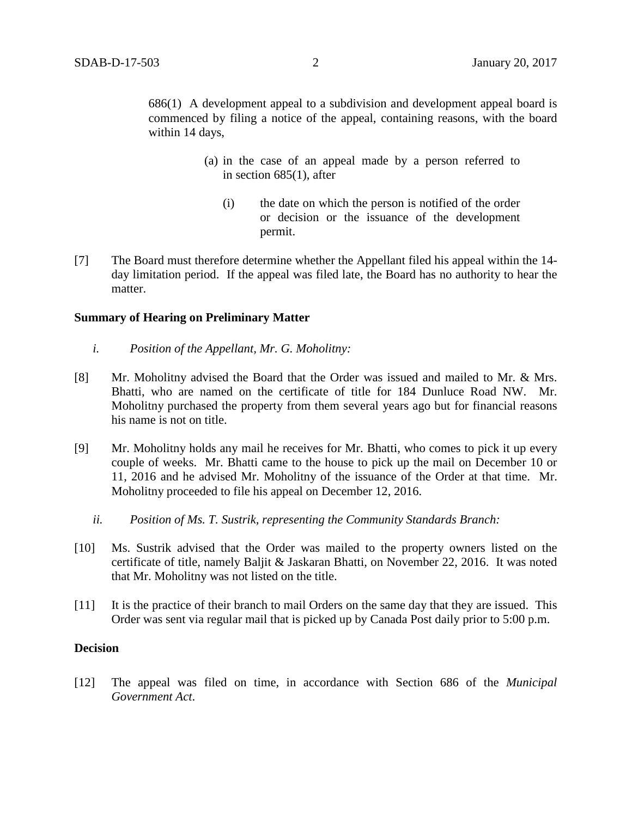686(1) A development appeal to a subdivision and development appeal board is commenced by filing a notice of the appeal, containing reasons, with the board within 14 days,

- (a) in the case of an appeal made by a person referred to in section 685(1), after
	- (i) the date on which the person is notified of the order or decision or the issuance of the development permit.
- [7] The Board must therefore determine whether the Appellant filed his appeal within the 14 day limitation period. If the appeal was filed late, the Board has no authority to hear the matter.

#### **Summary of Hearing on Preliminary Matter**

- *i. Position of the Appellant, Mr. G. Moholitny:*
- [8] Mr. Moholitny advised the Board that the Order was issued and mailed to Mr. & Mrs. Bhatti, who are named on the certificate of title for 184 Dunluce Road NW. Mr. Moholitny purchased the property from them several years ago but for financial reasons his name is not on title.
- [9] Mr. Moholitny holds any mail he receives for Mr. Bhatti, who comes to pick it up every couple of weeks. Mr. Bhatti came to the house to pick up the mail on December 10 or 11, 2016 and he advised Mr. Moholitny of the issuance of the Order at that time. Mr. Moholitny proceeded to file his appeal on December 12, 2016.
	- *ii. Position of Ms. T. Sustrik, representing the Community Standards Branch:*
- [10] Ms. Sustrik advised that the Order was mailed to the property owners listed on the certificate of title, namely Baljit & Jaskaran Bhatti, on November 22, 2016. It was noted that Mr. Moholitny was not listed on the title.
- [11] It is the practice of their branch to mail Orders on the same day that they are issued. This Order was sent via regular mail that is picked up by Canada Post daily prior to 5:00 p.m.

## **Decision**

[12] The appeal was filed on time, in accordance with Section 686 of the *Municipal Government Act*.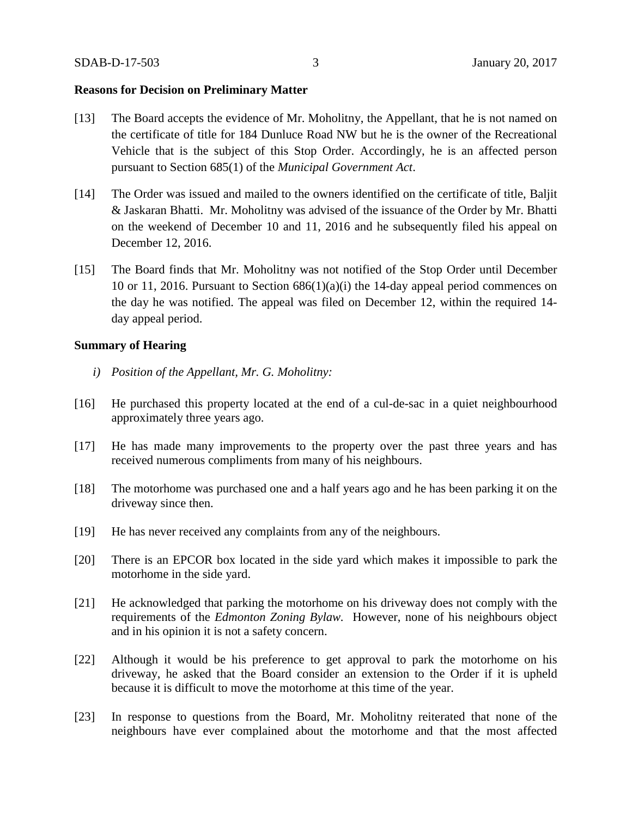### **Reasons for Decision on Preliminary Matter**

- [13] The Board accepts the evidence of Mr. Moholitny, the Appellant, that he is not named on the certificate of title for 184 Dunluce Road NW but he is the owner of the Recreational Vehicle that is the subject of this Stop Order. Accordingly, he is an affected person pursuant to Section 685(1) of the *Municipal Government Act*.
- [14] The Order was issued and mailed to the owners identified on the certificate of title, Baljit & Jaskaran Bhatti. Mr. Moholitny was advised of the issuance of the Order by Mr. Bhatti on the weekend of December 10 and 11, 2016 and he subsequently filed his appeal on December 12, 2016.
- [15] The Board finds that Mr. Moholitny was not notified of the Stop Order until December 10 or 11, 2016. Pursuant to Section  $686(1)(a)(i)$  the 14-day appeal period commences on the day he was notified. The appeal was filed on December 12, within the required 14 day appeal period.

#### **Summary of Hearing**

- *i) Position of the Appellant, Mr. G. Moholitny:*
- [16] He purchased this property located at the end of a cul-de-sac in a quiet neighbourhood approximately three years ago.
- [17] He has made many improvements to the property over the past three years and has received numerous compliments from many of his neighbours.
- [18] The motorhome was purchased one and a half years ago and he has been parking it on the driveway since then.
- [19] He has never received any complaints from any of the neighbours.
- [20] There is an EPCOR box located in the side yard which makes it impossible to park the motorhome in the side yard.
- [21] He acknowledged that parking the motorhome on his driveway does not comply with the requirements of the *Edmonton Zoning Bylaw.* However, none of his neighbours object and in his opinion it is not a safety concern.
- [22] Although it would be his preference to get approval to park the motorhome on his driveway, he asked that the Board consider an extension to the Order if it is upheld because it is difficult to move the motorhome at this time of the year.
- [23] In response to questions from the Board, Mr. Moholitny reiterated that none of the neighbours have ever complained about the motorhome and that the most affected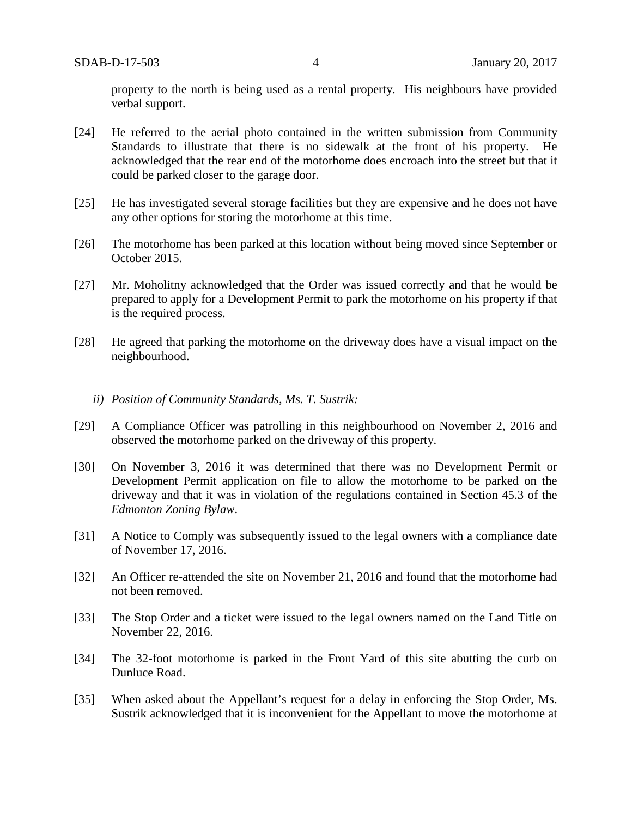property to the north is being used as a rental property. His neighbours have provided verbal support.

- [24] He referred to the aerial photo contained in the written submission from Community Standards to illustrate that there is no sidewalk at the front of his property. He acknowledged that the rear end of the motorhome does encroach into the street but that it could be parked closer to the garage door.
- [25] He has investigated several storage facilities but they are expensive and he does not have any other options for storing the motorhome at this time.
- [26] The motorhome has been parked at this location without being moved since September or October 2015.
- [27] Mr. Moholitny acknowledged that the Order was issued correctly and that he would be prepared to apply for a Development Permit to park the motorhome on his property if that is the required process.
- [28] He agreed that parking the motorhome on the driveway does have a visual impact on the neighbourhood.
	- *ii) Position of Community Standards, Ms. T. Sustrik:*
- [29] A Compliance Officer was patrolling in this neighbourhood on November 2, 2016 and observed the motorhome parked on the driveway of this property.
- [30] On November 3, 2016 it was determined that there was no Development Permit or Development Permit application on file to allow the motorhome to be parked on the driveway and that it was in violation of the regulations contained in Section 45.3 of the *Edmonton Zoning Bylaw*.
- [31] A Notice to Comply was subsequently issued to the legal owners with a compliance date of November 17, 2016.
- [32] An Officer re-attended the site on November 21, 2016 and found that the motorhome had not been removed.
- [33] The Stop Order and a ticket were issued to the legal owners named on the Land Title on November 22, 2016.
- [34] The 32-foot motorhome is parked in the Front Yard of this site abutting the curb on Dunluce Road.
- [35] When asked about the Appellant's request for a delay in enforcing the Stop Order, Ms. Sustrik acknowledged that it is inconvenient for the Appellant to move the motorhome at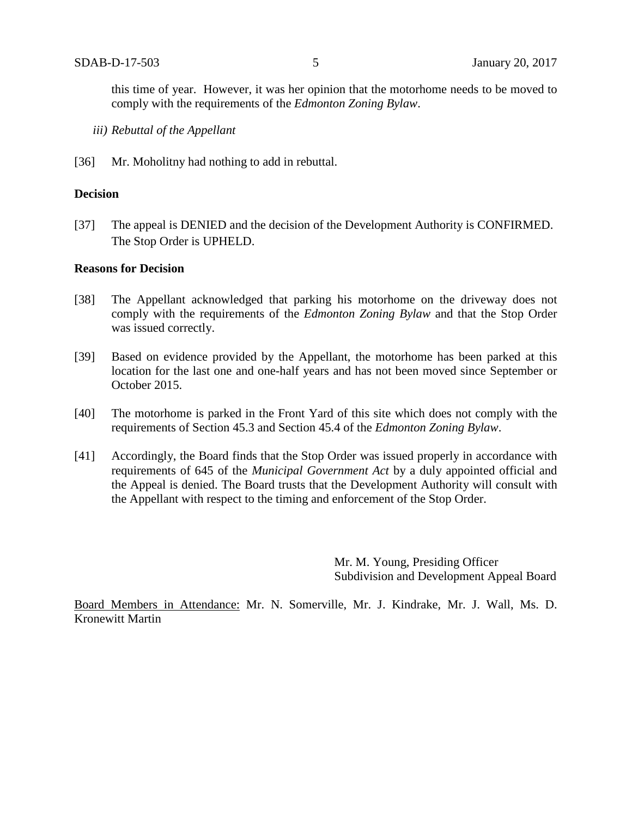this time of year. However, it was her opinion that the motorhome needs to be moved to comply with the requirements of the *Edmonton Zoning Bylaw*.

- *iii) Rebuttal of the Appellant*
- [36] Mr. Moholitny had nothing to add in rebuttal.

#### **Decision**

[37] The appeal is DENIED and the decision of the Development Authority is CONFIRMED. The Stop Order is UPHELD.

### **Reasons for Decision**

- [38] The Appellant acknowledged that parking his motorhome on the driveway does not comply with the requirements of the *Edmonton Zoning Bylaw* and that the Stop Order was issued correctly.
- [39] Based on evidence provided by the Appellant, the motorhome has been parked at this location for the last one and one-half years and has not been moved since September or October 2015.
- [40] The motorhome is parked in the Front Yard of this site which does not comply with the requirements of Section 45.3 and Section 45.4 of the *Edmonton Zoning Bylaw*.
- [41] Accordingly, the Board finds that the Stop Order was issued properly in accordance with requirements of 645 of the *Municipal Government Act* by a duly appointed official and the Appeal is denied. The Board trusts that the Development Authority will consult with the Appellant with respect to the timing and enforcement of the Stop Order.

Mr. M. Young, Presiding Officer Subdivision and Development Appeal Board

Board Members in Attendance: Mr. N. Somerville, Mr. J. Kindrake, Mr. J. Wall, Ms. D. Kronewitt Martin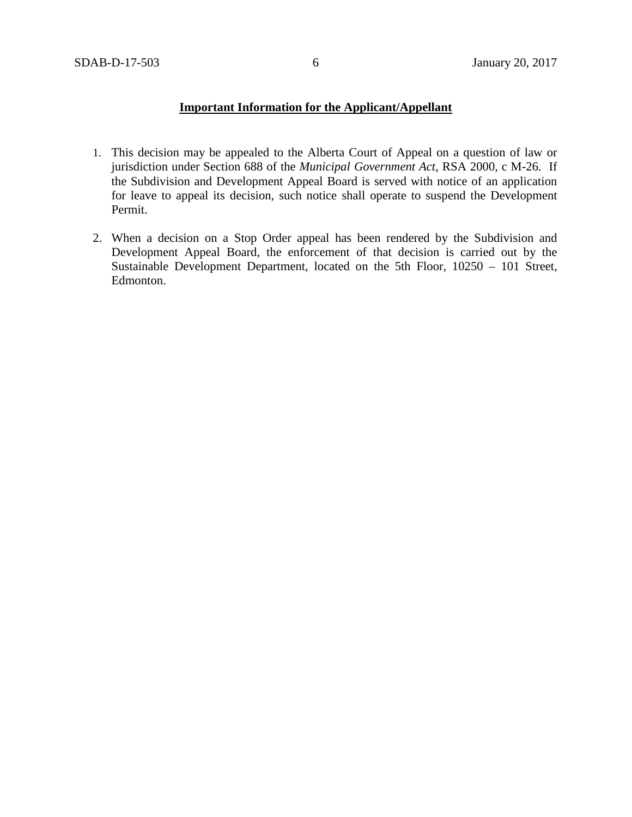### **Important Information for the Applicant/Appellant**

- 1. This decision may be appealed to the Alberta Court of Appeal on a question of law or jurisdiction under Section 688 of the *Municipal Government Act*, RSA 2000, c M-26. If the Subdivision and Development Appeal Board is served with notice of an application for leave to appeal its decision, such notice shall operate to suspend the Development Permit.
- 2. When a decision on a Stop Order appeal has been rendered by the Subdivision and Development Appeal Board, the enforcement of that decision is carried out by the Sustainable Development Department, located on the 5th Floor, 10250 – 101 Street, Edmonton.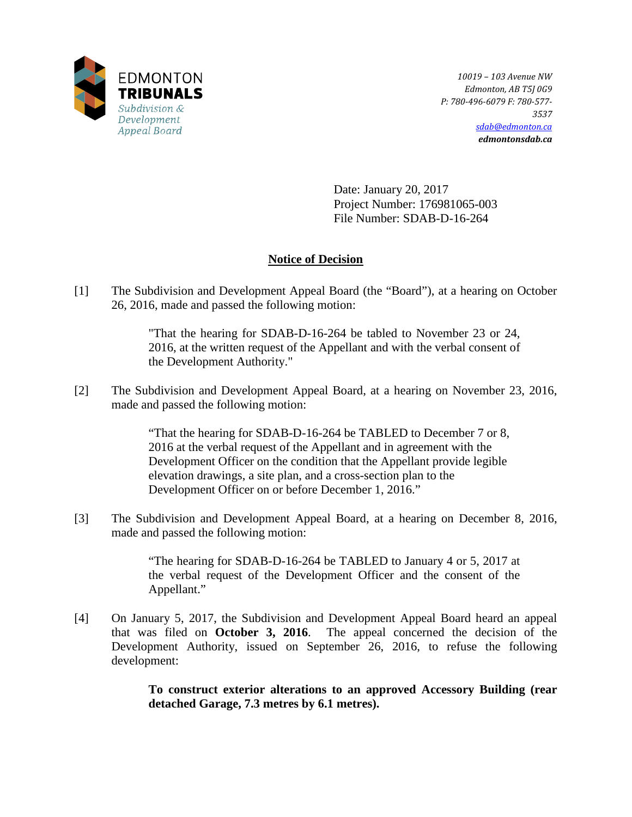

*10019 – 103 Avenue NW Edmonton, AB T5J 0G9 P: 780-496-6079 F: 780-577- 3537 [sdab@edmonton.ca](mailto:sdab@edmonton.ca) edmontonsdab.ca*

Date: January 20, 2017 Project Number: 176981065-003 File Number: SDAB-D-16-264

# **Notice of Decision**

[1] The Subdivision and Development Appeal Board (the "Board"), at a hearing on October 26, 2016, made and passed the following motion:

> "That the hearing for SDAB-D-16-264 be tabled to November 23 or 24, 2016, at the written request of the Appellant and with the verbal consent of the Development Authority."

[2] The Subdivision and Development Appeal Board, at a hearing on November 23, 2016, made and passed the following motion:

> "That the hearing for SDAB-D-16-264 be TABLED to December 7 or 8, 2016 at the verbal request of the Appellant and in agreement with the Development Officer on the condition that the Appellant provide legible elevation drawings, a site plan, and a cross-section plan to the Development Officer on or before December 1, 2016."

[3] The Subdivision and Development Appeal Board, at a hearing on December 8, 2016, made and passed the following motion:

> "The hearing for SDAB-D-16-264 be TABLED to January 4 or 5, 2017 at the verbal request of the Development Officer and the consent of the Appellant."

[4] On January 5, 2017, the Subdivision and Development Appeal Board heard an appeal that was filed on **October 3, 2016**. The appeal concerned the decision of the Development Authority, issued on September 26, 2016, to refuse the following development:

> **To construct exterior alterations to an approved Accessory Building (rear detached Garage, 7.3 metres by 6.1 metres).**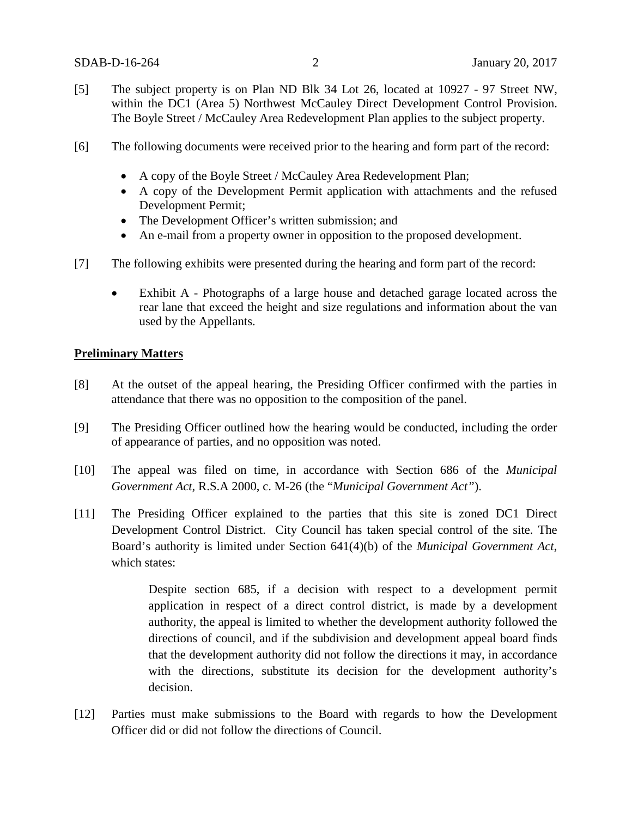- [5] The subject property is on Plan ND Blk 34 Lot 26, located at 10927 97 Street NW, within the DC1 (Area 5) Northwest McCauley Direct Development Control Provision. The Boyle Street / McCauley Area Redevelopment Plan applies to the subject property.
- [6] The following documents were received prior to the hearing and form part of the record:
	- A copy of the Boyle Street / McCauley Area Redevelopment Plan;
	- A copy of the Development Permit application with attachments and the refused Development Permit;
	- The Development Officer's written submission; and
	- An e-mail from a property owner in opposition to the proposed development.
- [7] The following exhibits were presented during the hearing and form part of the record:
	- Exhibit A Photographs of a large house and detached garage located across the rear lane that exceed the height and size regulations and information about the van used by the Appellants.

## **Preliminary Matters**

- [8] At the outset of the appeal hearing, the Presiding Officer confirmed with the parties in attendance that there was no opposition to the composition of the panel.
- [9] The Presiding Officer outlined how the hearing would be conducted, including the order of appearance of parties, and no opposition was noted.
- [10] The appeal was filed on time, in accordance with Section 686 of the *Municipal Government Act*, R.S.A 2000, c. M-26 (the "*Municipal Government Act"*).
- [11] The Presiding Officer explained to the parties that this site is zoned DC1 Direct Development Control District. City Council has taken special control of the site. The Board's authority is limited under Section 641(4)(b) of the *Municipal Government Act*, which states:

Despite section 685, if a decision with respect to a development permit application in respect of a direct control district, is made by a development authority, the appeal is limited to whether the development authority followed the directions of council, and if the subdivision and development appeal board finds that the development authority did not follow the directions it may, in accordance with the directions, substitute its decision for the development authority's decision.

[12] Parties must make submissions to the Board with regards to how the Development Officer did or did not follow the directions of Council.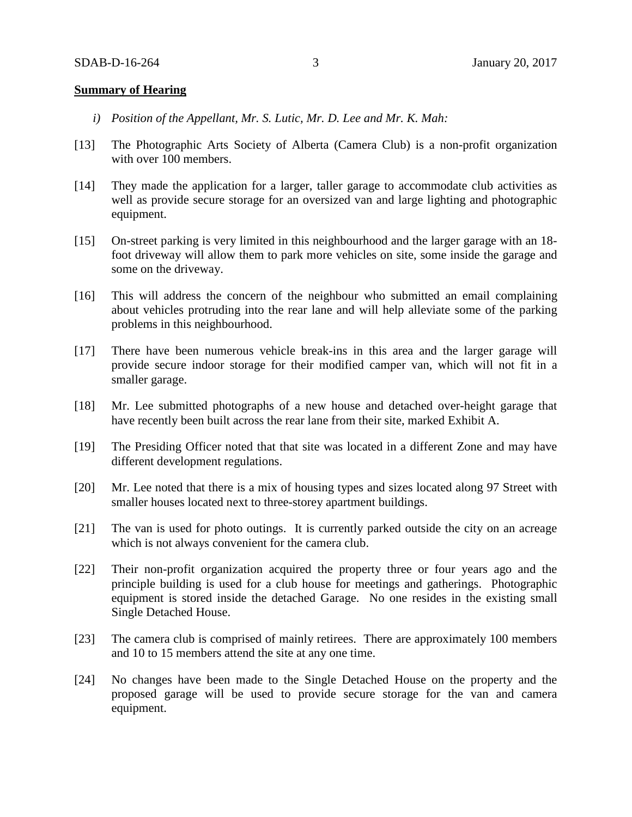#### **Summary of Hearing**

- *i) Position of the Appellant, Mr. S. Lutic, Mr. D. Lee and Mr. K. Mah:*
- [13] The Photographic Arts Society of Alberta (Camera Club) is a non-profit organization with over 100 members.
- [14] They made the application for a larger, taller garage to accommodate club activities as well as provide secure storage for an oversized van and large lighting and photographic equipment.
- [15] On-street parking is very limited in this neighbourhood and the larger garage with an 18 foot driveway will allow them to park more vehicles on site, some inside the garage and some on the driveway.
- [16] This will address the concern of the neighbour who submitted an email complaining about vehicles protruding into the rear lane and will help alleviate some of the parking problems in this neighbourhood.
- [17] There have been numerous vehicle break-ins in this area and the larger garage will provide secure indoor storage for their modified camper van, which will not fit in a smaller garage.
- [18] Mr. Lee submitted photographs of a new house and detached over-height garage that have recently been built across the rear lane from their site, marked Exhibit A.
- [19] The Presiding Officer noted that that site was located in a different Zone and may have different development regulations.
- [20] Mr. Lee noted that there is a mix of housing types and sizes located along 97 Street with smaller houses located next to three-storey apartment buildings.
- [21] The van is used for photo outings. It is currently parked outside the city on an acreage which is not always convenient for the camera club.
- [22] Their non-profit organization acquired the property three or four years ago and the principle building is used for a club house for meetings and gatherings. Photographic equipment is stored inside the detached Garage. No one resides in the existing small Single Detached House.
- [23] The camera club is comprised of mainly retirees. There are approximately 100 members and 10 to 15 members attend the site at any one time.
- [24] No changes have been made to the Single Detached House on the property and the proposed garage will be used to provide secure storage for the van and camera equipment.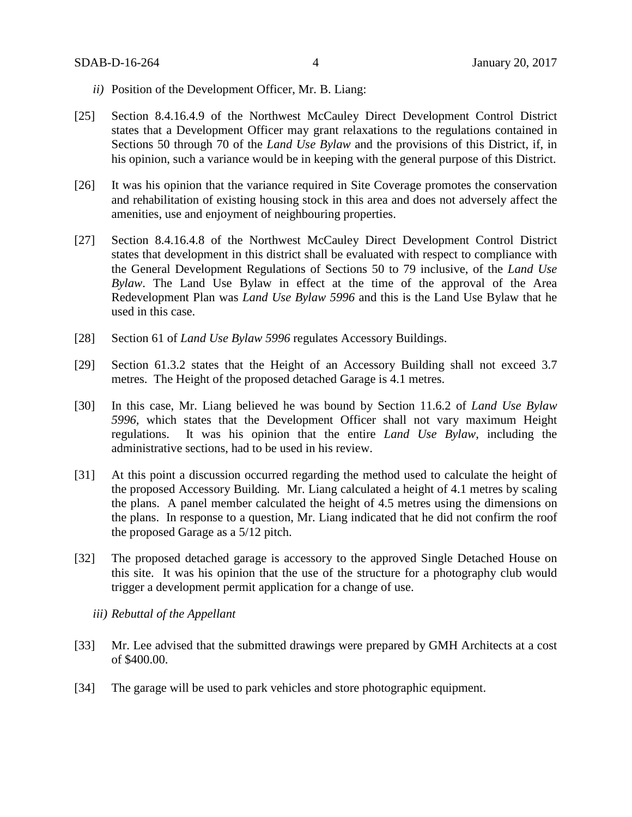- *ii)* Position of the Development Officer, Mr. B. Liang:
- [25] Section 8.4.16.4.9 of the Northwest McCauley Direct Development Control District states that a Development Officer may grant relaxations to the regulations contained in Sections 50 through 70 of the *Land Use Bylaw* and the provisions of this District, if, in his opinion, such a variance would be in keeping with the general purpose of this District.
- [26] It was his opinion that the variance required in Site Coverage promotes the conservation and rehabilitation of existing housing stock in this area and does not adversely affect the amenities, use and enjoyment of neighbouring properties.
- [27] Section 8.4.16.4.8 of the Northwest McCauley Direct Development Control District states that development in this district shall be evaluated with respect to compliance with the General Development Regulations of Sections 50 to 79 inclusive, of the *Land Use Bylaw*. The Land Use Bylaw in effect at the time of the approval of the Area Redevelopment Plan was *Land Use Bylaw 5996* and this is the Land Use Bylaw that he used in this case.
- [28] Section 61 of *Land Use Bylaw 5996* regulates Accessory Buildings.
- [29] Section 61.3.2 states that the Height of an Accessory Building shall not exceed 3.7 metres. The Height of the proposed detached Garage is 4.1 metres.
- [30] In this case, Mr. Liang believed he was bound by Section 11.6.2 of *Land Use Bylaw 5996,* which states that the Development Officer shall not vary maximum Height regulations. It was his opinion that the entire *Land Use Bylaw*, including the administrative sections, had to be used in his review.
- [31] At this point a discussion occurred regarding the method used to calculate the height of the proposed Accessory Building. Mr. Liang calculated a height of 4.1 metres by scaling the plans. A panel member calculated the height of 4.5 metres using the dimensions on the plans. In response to a question, Mr. Liang indicated that he did not confirm the roof the proposed Garage as a 5/12 pitch.
- [32] The proposed detached garage is accessory to the approved Single Detached House on this site. It was his opinion that the use of the structure for a photography club would trigger a development permit application for a change of use.
	- *iii) Rebuttal of the Appellant*
- [33] Mr. Lee advised that the submitted drawings were prepared by GMH Architects at a cost of \$400.00.
- [34] The garage will be used to park vehicles and store photographic equipment.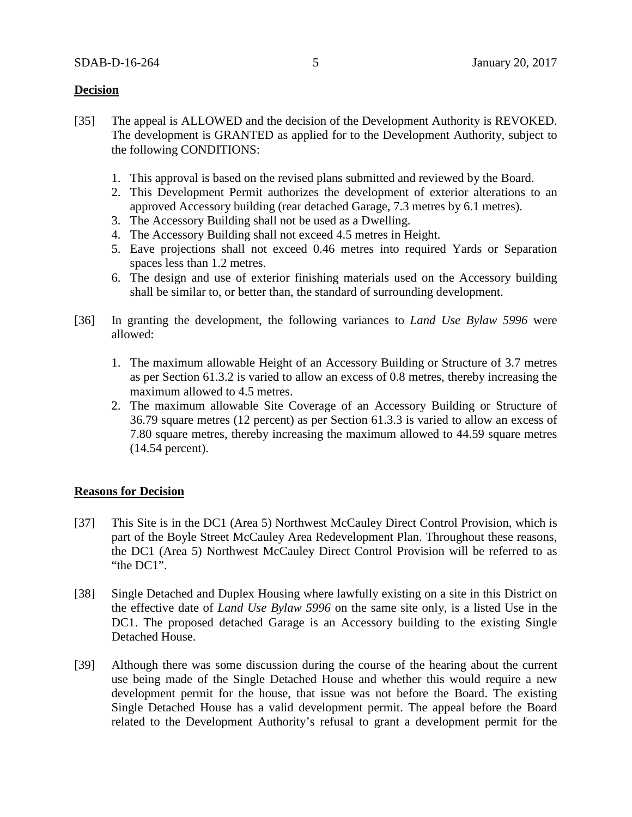### **Decision**

- [35] The appeal is ALLOWED and the decision of the Development Authority is REVOKED. The development is GRANTED as applied for to the Development Authority, subject to the following CONDITIONS:
	- 1. This approval is based on the revised plans submitted and reviewed by the Board.
	- 2. This Development Permit authorizes the development of exterior alterations to an approved Accessory building (rear detached Garage, 7.3 metres by 6.1 metres).
	- 3. The Accessory Building shall not be used as a Dwelling.
	- 4. The Accessory Building shall not exceed 4.5 metres in Height.
	- 5. Eave projections shall not exceed 0.46 metres into required Yards or Separation spaces less than 1.2 metres.
	- 6. The design and use of exterior finishing materials used on the Accessory building shall be similar to, or better than, the standard of surrounding development.
- [36] In granting the development, the following variances to *Land Use Bylaw 5996* were allowed:
	- 1. The maximum allowable Height of an Accessory Building or Structure of 3.7 metres as per Section 61.3.2 is varied to allow an excess of 0.8 metres, thereby increasing the maximum allowed to 4.5 metres.
	- 2. The maximum allowable Site Coverage of an Accessory Building or Structure of 36.79 square metres (12 percent) as per Section 61.3.3 is varied to allow an excess of 7.80 square metres, thereby increasing the maximum allowed to 44.59 square metres (14.54 percent).

## **Reasons for Decision**

- [37] This Site is in the DC1 (Area 5) Northwest McCauley Direct Control Provision, which is part of the Boyle Street McCauley Area Redevelopment Plan. Throughout these reasons, the DC1 (Area 5) Northwest McCauley Direct Control Provision will be referred to as "the DC1".
- [38] Single Detached and Duplex Housing where lawfully existing on a site in this District on the effective date of *Land Use Bylaw 5996* on the same site only, is a listed Use in the DC1. The proposed detached Garage is an Accessory building to the existing Single Detached House.
- [39] Although there was some discussion during the course of the hearing about the current use being made of the Single Detached House and whether this would require a new development permit for the house, that issue was not before the Board. The existing Single Detached House has a valid development permit. The appeal before the Board related to the Development Authority's refusal to grant a development permit for the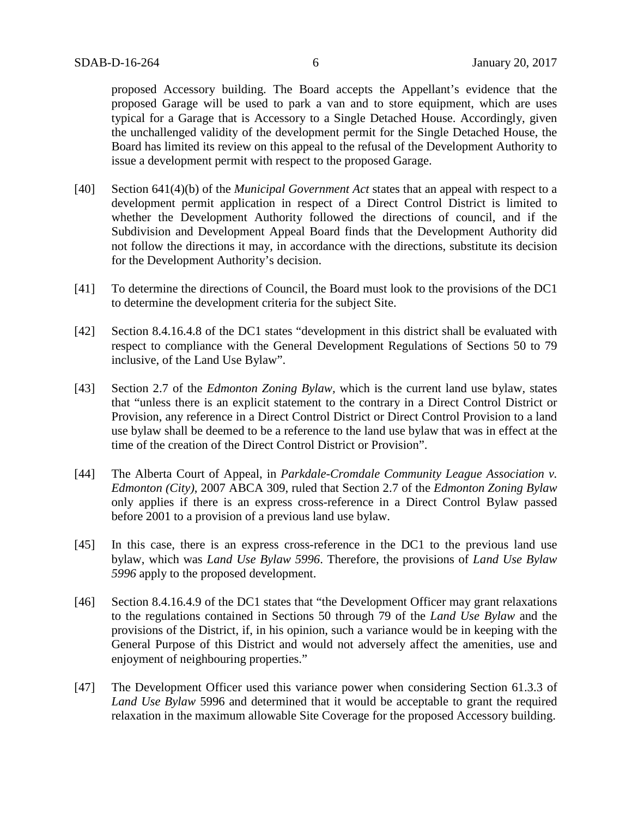proposed Accessory building. The Board accepts the Appellant's evidence that the proposed Garage will be used to park a van and to store equipment, which are uses typical for a Garage that is Accessory to a Single Detached House. Accordingly, given the unchallenged validity of the development permit for the Single Detached House, the Board has limited its review on this appeal to the refusal of the Development Authority to issue a development permit with respect to the proposed Garage.

- [40] Section 641(4)(b) of the *Municipal Government Act* states that an appeal with respect to a development permit application in respect of a Direct Control District is limited to whether the Development Authority followed the directions of council, and if the Subdivision and Development Appeal Board finds that the Development Authority did not follow the directions it may, in accordance with the directions, substitute its decision for the Development Authority's decision.
- [41] To determine the directions of Council, the Board must look to the provisions of the DC1 to determine the development criteria for the subject Site.
- [42] Section 8.4.16.4.8 of the DC1 states "development in this district shall be evaluated with respect to compliance with the General Development Regulations of Sections 50 to 79 inclusive, of the Land Use Bylaw".
- [43] Section 2.7 of the *Edmonton Zoning Bylaw,* which is the current land use bylaw*,* states that "unless there is an explicit statement to the contrary in a Direct Control District or Provision, any reference in a Direct Control District or Direct Control Provision to a land use bylaw shall be deemed to be a reference to the land use bylaw that was in effect at the time of the creation of the Direct Control District or Provision".
- [44] The Alberta Court of Appeal, in *Parkdale-Cromdale Community League Association v. Edmonton (City)*, 2007 ABCA 309, ruled that Section 2.7 of the *Edmonton Zoning Bylaw*  only applies if there is an express cross-reference in a Direct Control Bylaw passed before 2001 to a provision of a previous land use bylaw.
- [45] In this case, there is an express cross-reference in the DC1 to the previous land use bylaw, which was *Land Use Bylaw 5996*. Therefore, the provisions of *Land Use Bylaw 5996* apply to the proposed development.
- [46] Section 8.4.16.4.9 of the DC1 states that "the Development Officer may grant relaxations to the regulations contained in Sections 50 through 79 of the *Land Use Bylaw* and the provisions of the District, if, in his opinion, such a variance would be in keeping with the General Purpose of this District and would not adversely affect the amenities, use and enjoyment of neighbouring properties."
- [47] The Development Officer used this variance power when considering Section 61.3.3 of *Land Use Bylaw* 5996 and determined that it would be acceptable to grant the required relaxation in the maximum allowable Site Coverage for the proposed Accessory building.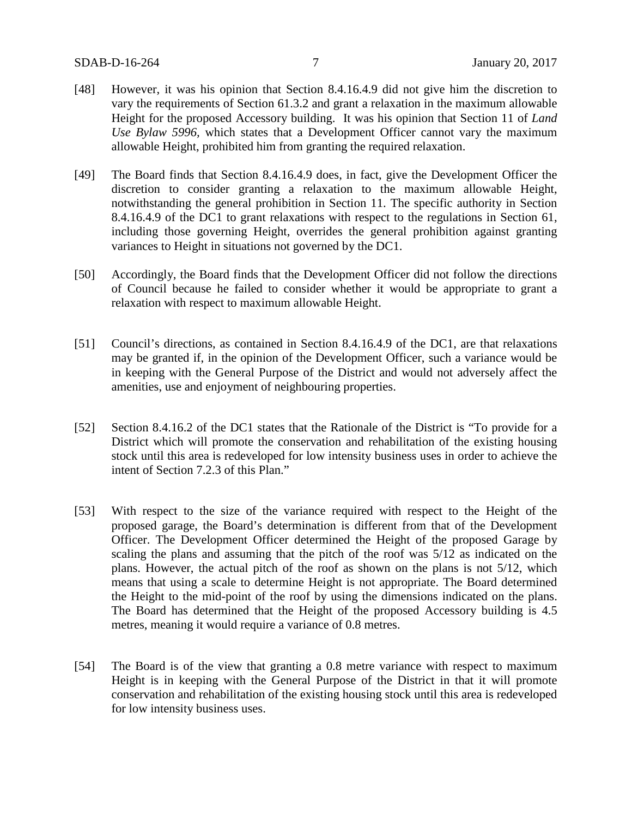- [48] However, it was his opinion that Section 8.4.16.4.9 did not give him the discretion to vary the requirements of Section 61.3.2 and grant a relaxation in the maximum allowable Height for the proposed Accessory building. It was his opinion that Section 11 of *Land Use Bylaw 5996,* which states that a Development Officer cannot vary the maximum allowable Height, prohibited him from granting the required relaxation.
- [49] The Board finds that Section 8.4.16.4.9 does, in fact, give the Development Officer the discretion to consider granting a relaxation to the maximum allowable Height, notwithstanding the general prohibition in Section 11. The specific authority in Section 8.4.16.4.9 of the DC1 to grant relaxations with respect to the regulations in Section 61, including those governing Height, overrides the general prohibition against granting variances to Height in situations not governed by the DC1.
- [50] Accordingly, the Board finds that the Development Officer did not follow the directions of Council because he failed to consider whether it would be appropriate to grant a relaxation with respect to maximum allowable Height.
- [51] Council's directions, as contained in Section 8.4.16.4.9 of the DC1, are that relaxations may be granted if, in the opinion of the Development Officer, such a variance would be in keeping with the General Purpose of the District and would not adversely affect the amenities, use and enjoyment of neighbouring properties.
- [52] Section 8.4.16.2 of the DC1 states that the Rationale of the District is "To provide for a District which will promote the conservation and rehabilitation of the existing housing stock until this area is redeveloped for low intensity business uses in order to achieve the intent of Section 7.2.3 of this Plan."
- [53] With respect to the size of the variance required with respect to the Height of the proposed garage, the Board's determination is different from that of the Development Officer. The Development Officer determined the Height of the proposed Garage by scaling the plans and assuming that the pitch of the roof was 5/12 as indicated on the plans. However, the actual pitch of the roof as shown on the plans is not 5/12, which means that using a scale to determine Height is not appropriate. The Board determined the Height to the mid-point of the roof by using the dimensions indicated on the plans. The Board has determined that the Height of the proposed Accessory building is 4.5 metres, meaning it would require a variance of 0.8 metres.
- [54] The Board is of the view that granting a 0.8 metre variance with respect to maximum Height is in keeping with the General Purpose of the District in that it will promote conservation and rehabilitation of the existing housing stock until this area is redeveloped for low intensity business uses.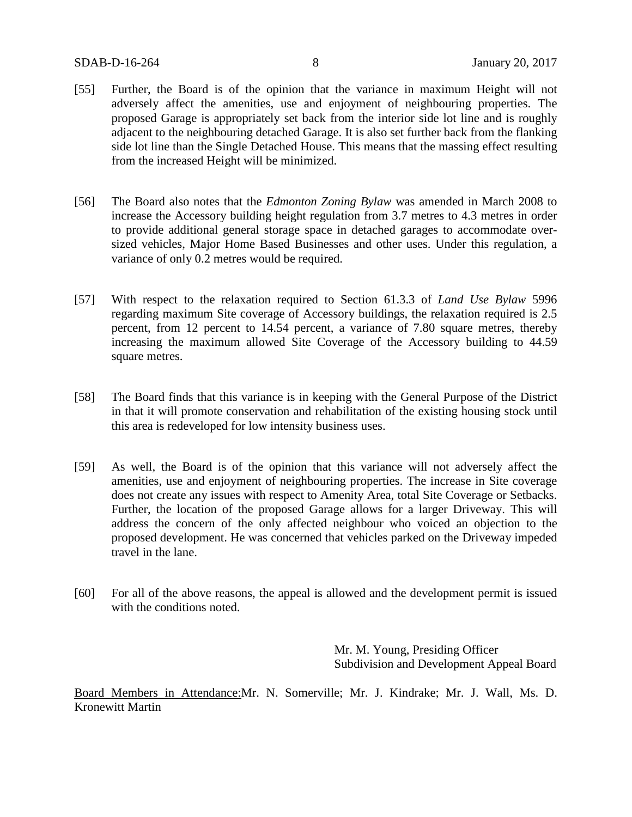- [55] Further, the Board is of the opinion that the variance in maximum Height will not adversely affect the amenities, use and enjoyment of neighbouring properties. The proposed Garage is appropriately set back from the interior side lot line and is roughly adjacent to the neighbouring detached Garage. It is also set further back from the flanking side lot line than the Single Detached House. This means that the massing effect resulting from the increased Height will be minimized.
- [56] The Board also notes that the *Edmonton Zoning Bylaw* was amended in March 2008 to increase the Accessory building height regulation from 3.7 metres to 4.3 metres in order to provide additional general storage space in detached garages to accommodate oversized vehicles, Major Home Based Businesses and other uses. Under this regulation, a variance of only 0.2 metres would be required.
- [57] With respect to the relaxation required to Section 61.3.3 of *Land Use Bylaw* 5996 regarding maximum Site coverage of Accessory buildings, the relaxation required is 2.5 percent, from 12 percent to 14.54 percent, a variance of 7.80 square metres, thereby increasing the maximum allowed Site Coverage of the Accessory building to 44.59 square metres.
- [58] The Board finds that this variance is in keeping with the General Purpose of the District in that it will promote conservation and rehabilitation of the existing housing stock until this area is redeveloped for low intensity business uses.
- [59] As well, the Board is of the opinion that this variance will not adversely affect the amenities, use and enjoyment of neighbouring properties. The increase in Site coverage does not create any issues with respect to Amenity Area, total Site Coverage or Setbacks. Further, the location of the proposed Garage allows for a larger Driveway. This will address the concern of the only affected neighbour who voiced an objection to the proposed development. He was concerned that vehicles parked on the Driveway impeded travel in the lane.
- [60] For all of the above reasons, the appeal is allowed and the development permit is issued with the conditions noted.

Mr. M. Young, Presiding Officer Subdivision and Development Appeal Board

Board Members in Attendance:Mr. N. Somerville; Mr. J. Kindrake; Mr. J. Wall, Ms. D. Kronewitt Martin